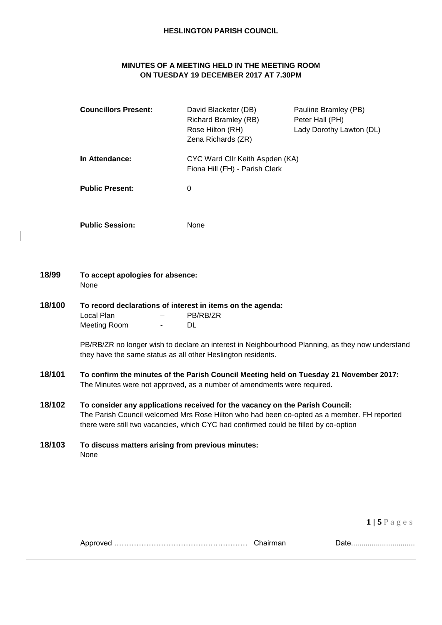## **HESLINGTON PARISH COUNCIL**

## **MINUTES OF A MEETING HELD IN THE MEETING ROOM ON TUESDAY 19 DECEMBER 2017 AT 7.30PM**

|        | <b>Councillors Present:</b>                               | David Blacketer (DB)<br><b>Richard Bramley (RB)</b><br>Rose Hilton (RH)<br>Zena Richards (ZR)                                                                        | Pauline Bramley (PB)<br>Peter Hall (PH)<br>Lady Dorothy Lawton (DL)                              |
|--------|-----------------------------------------------------------|----------------------------------------------------------------------------------------------------------------------------------------------------------------------|--------------------------------------------------------------------------------------------------|
|        | In Attendance:                                            | CYC Ward Cllr Keith Aspden (KA)<br>Fiona Hill (FH) - Parish Clerk                                                                                                    |                                                                                                  |
|        | <b>Public Present:</b>                                    | $\mathbf 0$                                                                                                                                                          |                                                                                                  |
|        | <b>Public Session:</b>                                    | None                                                                                                                                                                 |                                                                                                  |
| 18/99  | To accept apologies for absence:<br>None                  |                                                                                                                                                                      |                                                                                                  |
| 18/100 | Local Plan<br>Meeting Room                                | To record declarations of interest in items on the agenda:<br>PB/RB/ZR<br>DL                                                                                         |                                                                                                  |
|        |                                                           | they have the same status as all other Heslington residents.                                                                                                         | PB/RB/ZR no longer wish to declare an interest in Neighbourhood Planning, as they now understand |
| 18/101 |                                                           | The Minutes were not approved, as a number of amendments were required.                                                                                              | To confirm the minutes of the Parish Council Meeting held on Tuesday 21 November 2017:           |
| 18/102 |                                                           | To consider any applications received for the vacancy on the Parish Council:<br>there were still two vacancies, which CYC had confirmed could be filled by co-option | The Parish Council welcomed Mrs Rose Hilton who had been co-opted as a member. FH reported       |
| 18/103 | To discuss matters arising from previous minutes:<br>None |                                                                                                                                                                      |                                                                                                  |

**1 | 5** P a g e s

Approved ……………………………………………… Chairman Date...............................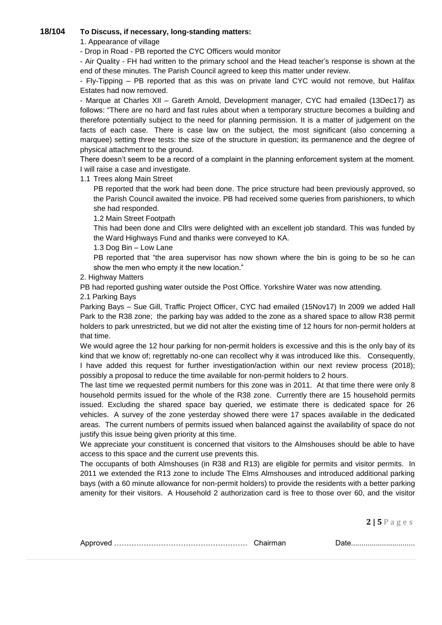#### **18/104 To Discuss, if necessary, long-standing matters:**

1. Appearance of village

- Drop in Road - PB reported the CYC Officers would monitor

- Air Quality - FH had written to the primary school and the Head teacher's response is shown at the end of these minutes. The Parish Council agreed to keep this matter under review.

- Fly-Tipping – PB reported that as this was on private land CYC would not remove, but Halifax Estates had now removed.

- Marque at Charles XII – Gareth Arnold, Development manager, CYC had emailed (13Dec17) as follows: "There are no hard and fast rules about when a temporary structure becomes a building and therefore potentially subject to the need for planning permission. It is a matter of judgement on the facts of each case. There is case law on the subject, the most significant (also concerning a marquee) setting three tests: the size of the structure in question; its permanence and the degree of physical attachment to the ground.

There doesn't seem to be a record of a complaint in the planning enforcement system at the moment. I will raise a case and investigate.

1.1 Trees along Main Street

PB reported that the work had been done. The price structure had been previously approved, so the Parish Council awaited the invoice. PB had received some queries from parishioners, to which she had responded.

1.2 Main Street Footpath

This had been done and Cllrs were delighted with an excellent job standard. This was funded by the Ward Highways Fund and thanks were conveyed to KA.

1.3 Dog Bin – Low Lane

PB reported that "the area supervisor has now shown where the bin is going to be so he can show the men who empty it the new location."

2. Highway Matters

PB had reported gushing water outside the Post Office. Yorkshire Water was now attending.

2.1 Parking Bays

Parking Bays – Sue Gill, Traffic Project Officer, CYC had emailed (15Nov17) In 2009 we added Hall Park to the R38 zone; the parking bay was added to the zone as a shared space to allow R38 permit holders to park unrestricted, but we did not alter the existing time of 12 hours for non-permit holders at that time.

We would agree the 12 hour parking for non-permit holders is excessive and this is the only bay of its kind that we know of; regrettably no-one can recollect why it was introduced like this. Consequently, I have added this request for further investigation/action within our next review process (2018); possibly a proposal to reduce the time available for non-permit holders to 2 hours.

The last time we requested permit numbers for this zone was in 2011. At that time there were only 8 household permits issued for the whole of the R38 zone. Currently there are 15 household permits issued. Excluding the shared space bay queried, we estimate there is dedicated space for 26 vehicles. A survey of the zone yesterday showed there were 17 spaces available in the dedicated areas. The current numbers of permits issued when balanced against the availability of space do not justify this issue being given priority at this time.

We appreciate your constituent is concerned that visitors to the Almshouses should be able to have access to this space and the current use prevents this.

The occupants of both Almshouses (in R38 and R13) are eligible for permits and visitor permits. In 2011 we extended the R13 zone to include The Elms Almshouses and introduced additional parking bays (with a 60 minute allowance for non-permit holders) to provide the residents with a better parking amenity for their visitors. A Household 2 authorization card is free to those over 60, and the visitor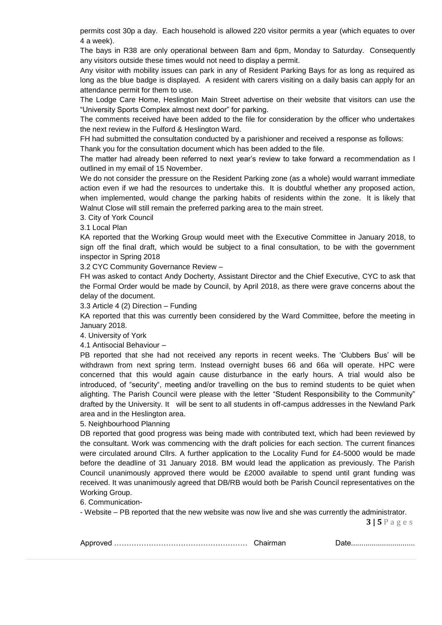permits cost 30p a day. Each household is allowed 220 visitor permits a year (which equates to over 4 a week).

The bays in R38 are only operational between 8am and 6pm, Monday to Saturday. Consequently any visitors outside these times would not need to display a permit.

Any visitor with mobility issues can park in any of Resident Parking Bays for as long as required as long as the blue badge is displayed. A resident with carers visiting on a daily basis can apply for an attendance permit for them to use.

The Lodge Care Home, Heslington Main Street advertise on their website that visitors can use the "University Sports Complex almost next door" for parking.

The comments received have been added to the file for consideration by the officer who undertakes the next review in the Fulford & Heslington Ward.

FH had submitted the consultation conducted by a parishioner and received a response as follows:

Thank you for the consultation document which has been added to the file.

The matter had already been referred to next year's review to take forward a recommendation as I outlined in my email of 15 November.

We do not consider the pressure on the Resident Parking zone (as a whole) would warrant immediate action even if we had the resources to undertake this. It is doubtful whether any proposed action, when implemented, would change the parking habits of residents within the zone. It is likely that Walnut Close will still remain the preferred parking area to the main street.

3. City of York Council

3.1 Local Plan

KA reported that the Working Group would meet with the Executive Committee in January 2018, to sign off the final draft, which would be subject to a final consultation, to be with the government inspector in Spring 2018

3.2 CYC Community Governance Review –

FH was asked to contact Andy Docherty, Assistant Director and the Chief Executive, CYC to ask that the Formal Order would be made by Council, by April 2018, as there were grave concerns about the delay of the document.

3.3 Article 4 (2) Direction – Funding

KA reported that this was currently been considered by the Ward Committee, before the meeting in January 2018.

4. University of York

4.1 Antisocial Behaviour –

PB reported that she had not received any reports in recent weeks. The 'Clubbers Bus' will be withdrawn from next spring term. Instead overnight buses 66 and 66a will operate. HPC were concerned that this would again cause disturbance in the early hours. A trial would also be introduced, of "security", meeting and/or travelling on the bus to remind students to be quiet when alighting. The Parish Council were please with the letter "Student Responsibility to the Community" drafted by the University. It will be sent to all students in off-campus addresses in the Newland Park area and in the Heslington area.

5. Neighbourhood Planning

DB reported that good progress was being made with contributed text, which had been reviewed by the consultant. Work was commencing with the draft policies for each section. The current finances were circulated around Cllrs. A further application to the Locality Fund for £4-5000 would be made before the deadline of 31 January 2018. BM would lead the application as previously. The Parish Council unanimously approved there would be £2000 available to spend until grant funding was received. It was unanimously agreed that DB/RB would both be Parish Council representatives on the Working Group.

6. Communication-

- Website – PB reported that the new website was now live and she was currently the administrator.

|--|--|--|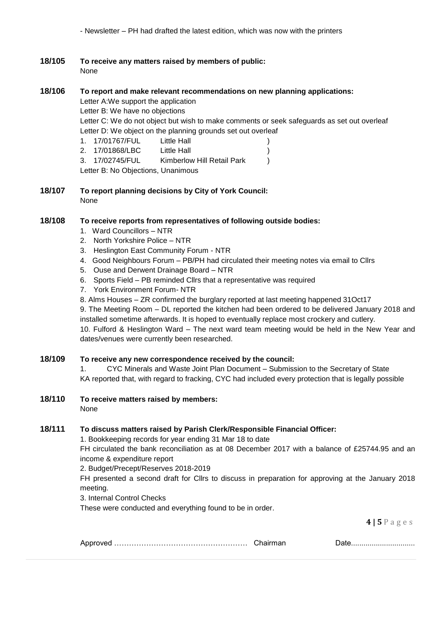- Newsletter – PH had drafted the latest edition, which was now with the printers

**18/105 To receive any matters raised by members of public:**  None

### **18/106 To report and make relevant recommendations on new planning applications:**

Letter A:We support the application

Letter B: We have no objections

Letter C: We do not object but wish to make comments or seek safeguards as set out overleaf Letter D: We object on the planning grounds set out overleaf

| 1. 17/01767/FUL                    | Little Hall                |  |
|------------------------------------|----------------------------|--|
| 2. 17/01868/LBC                    | Little Hall                |  |
| 3. 17/02745/FUL                    | Kimberlow Hill Retail Park |  |
| Letter B: No Objections, Unanimous |                            |  |

**18/107 To report planning decisions by City of York Council:** None

## **18/108 To receive reports from representatives of following outside bodies:**

- 1. Ward Councillors NTR
- 2. North Yorkshire Police NTR
- 3. Heslington East Community Forum NTR
- 4. Good Neighbours Forum PB/PH had circulated their meeting notes via email to Cllrs
- 5. Ouse and Derwent Drainage Board NTR
- 6. Sports Field PB reminded Cllrs that a representative was required
- 7. York Environment Forum- NTR
- 8. Alms Houses ZR confirmed the burglary reported at last meeting happened 31Oct17

9. The Meeting Room – DL reported the kitchen had been ordered to be delivered January 2018 and installed sometime afterwards. It is hoped to eventually replace most crockery and cutlery.

10. Fulford & Heslington Ward – The next ward team meeting would be held in the New Year and dates/venues were currently been researched.

### **18/109 To receive any new correspondence received by the council:**

1. CYC Minerals and Waste Joint Plan Document – Submission to the Secretary of State KA reported that, with regard to fracking, CYC had included every protection that is legally possible

**18/110 To receive matters raised by members:**

None

# **18/111 To discuss matters raised by Parish Clerk/Responsible Financial Officer:**

1. Bookkeeping records for year ending 31 Mar 18 to date

FH circulated the bank reconciliation as at 08 December 2017 with a balance of £25744.95 and an income & expenditure report

2. Budget/Precept/Reserves 2018-2019

FH presented a second draft for Cllrs to discuss in preparation for approving at the January 2018 meeting.

3. Internal Control Checks

These were conducted and everything found to be in order.

| - |  |  |
|---|--|--|
|---|--|--|